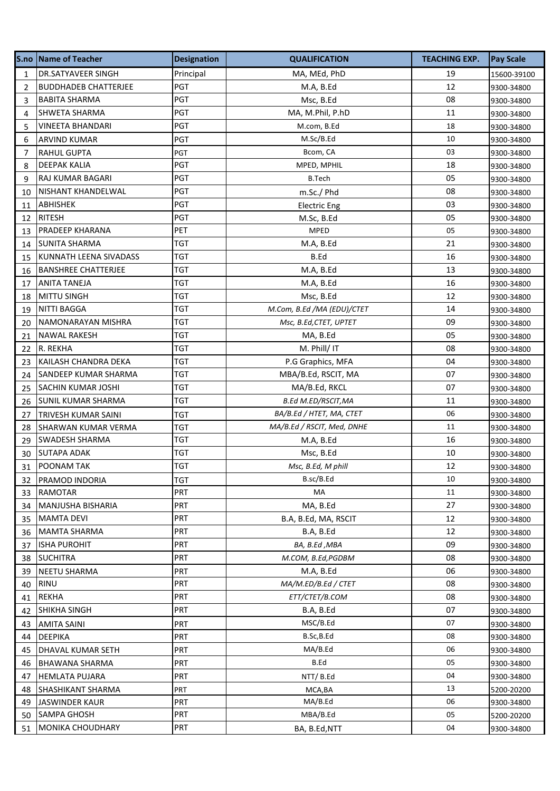| S.no           | <b>Name of Teacher</b>      | <b>Designation</b> | <b>QUALIFICATION</b>       | <b>TEACHING EXP.</b> | <b>Pay Scale</b> |
|----------------|-----------------------------|--------------------|----------------------------|----------------------|------------------|
| 1              | DR.SATYAVEER SINGH          | Principal          | MA, MEd, PhD               | 19                   | 15600-39100      |
| $\overline{2}$ | <b>BUDDHADEB CHATTERJEE</b> | <b>PGT</b>         | M.A, B.Ed                  | 12                   | 9300-34800       |
| 3              | <b>BABITA SHARMA</b>        | PGT                | Msc, B.Ed                  | 08                   | 9300-34800       |
| 4              | SHWETA SHARMA               | <b>PGT</b>         | MA, M.Phil, P.hD           | 11                   | 9300-34800       |
| 5              | VINEETA BHANDARI            | <b>PGT</b>         | M.com, B.Ed                | 18                   | 9300-34800       |
| 6              | <b>ARVIND KUMAR</b>         | <b>PGT</b>         | M.Sc/B.Ed                  | 10                   | 9300-34800       |
| 7              | RAHUL GUPTA                 | PGT                | Bcom, CA                   | 03                   | 9300-34800       |
| 8              | <b>DEEPAK KALIA</b>         | PGT                | MPED, MPHIL                | 18                   | 9300-34800       |
| 9              | RAJ KUMAR BAGARI            | PGT                | B.Tech                     | 05                   | 9300-34800       |
| 10             | NISHANT KHANDELWAL          | <b>PGT</b>         | m.Sc./ Phd                 | 08                   | 9300-34800       |
| 11             | ABHISHEK                    | <b>PGT</b>         | <b>Electric Eng</b>        | 03                   | 9300-34800       |
| 12             | <b>RITESH</b>               | PGT                | M.Sc, B.Ed                 | 05                   | 9300-34800       |
| 13             | PRADEEP KHARANA             | <b>PET</b>         | <b>MPED</b>                | 05                   | 9300-34800       |
| 14             | SUNITA SHARMA               | TGT                | M.A, B.Ed                  | 21                   | 9300-34800       |
| 15             | KUNNATH LEENA SIVADASS      | TGT                | B.Ed                       | 16                   | 9300-34800       |
| 16             | <b>BANSHREE CHATTERJEE</b>  | TGT                | M.A, B.Ed                  | 13                   | 9300-34800       |
| 17             | <b>ANITA TANEJA</b>         | TGT                | M.A, B.Ed                  | 16                   | 9300-34800       |
| 18             | MITTU SINGH                 | TGT                | Msc, B.Ed                  | 12                   | 9300-34800       |
| 19             | NITTI BAGGA                 | TGT                | M.Com, B.Ed /MA (EDU)/CTET | 14                   | 9300-34800       |
| 20             | NAMONARAYAN MISHRA          | TGT                | Msc, B.Ed, CTET, UPTET     | 09                   | 9300-34800       |
| 21             | <b>NAWAL RAKESH</b>         | TGT                | MA, B.Ed                   | 05                   | 9300-34800       |
| 22             | R. REKHA                    | TGT                | M. Phill/ IT               | 08                   | 9300-34800       |
| 23             | KAILASH CHANDRA DEKA        | TGT                | P.G Graphics, MFA          | 04                   | 9300-34800       |
| 24             | SANDEEP KUMAR SHARMA        | TGT                | MBA/B.Ed, RSCIT, MA        | 07                   | 9300-34800       |
| 25             | <b>SACHIN KUMAR JOSHI</b>   | <b>TGT</b>         | MA/B.Ed, RKCL              | 07                   | 9300-34800       |
| 26             | SUNIL KUMAR SHARMA          | TGT                | <b>B.Ed M.ED/RSCIT, MA</b> | 11                   | 9300-34800       |
| 27             | <b>TRIVESH KUMAR SAINI</b>  | TGT                | BA/B.Ed / HTET, MA, CTET   | 06                   | 9300-34800       |
| 28             | SHARWAN KUMAR VERMA         | TGT                | MA/B.Ed / RSCIT, Med, DNHE | 11                   | 9300-34800       |
| 29             | SWADESH SHARMA              | TGT                | M.A, B.Ed                  | 16                   | 9300-34800       |
| 30             | <b>SUTAPA ADAK</b>          | TGT                | Msc, B.Ed                  | 10                   | 9300-34800       |
| 31             | POONAM TAK                  | <b>TGT</b>         | Msc, B.Ed, M phill         | 12                   | 9300-34800       |
| 32             | PRAMOD INDORIA              | TGT                | B.sc/B.Ed                  | 10                   | 9300-34800       |
| 33             | RAMOTAR                     | <b>PRT</b>         | MA                         | 11                   | 9300-34800       |
| 34             | MANJUSHA BISHARIA           | <b>PRT</b>         | MA, B.Ed                   | 27                   | 9300-34800       |
| 35             | <b>MAMTA DEVI</b>           | PRT                | B.A, B.Ed, MA, RSCIT       | 12                   | 9300-34800       |
| 36             | <b>MAMTA SHARMA</b>         | PRT                | B.A, B.Ed                  | 12                   | 9300-34800       |
| 37             | <b>ISHA PUROHIT</b>         | PRT                | BA, B.Ed, MBA              | 09                   | 9300-34800       |
| 38             | <b>SUCHITRA</b>             | PRT                | M.COM, B.Ed, PGDBM         | 08                   | 9300-34800       |
| 39             | NEETU SHARMA                | PRT                | M.A, B.Ed                  | 06                   | 9300-34800       |
| 40             | RINU                        | <b>PRT</b>         | MA/M.ED/B.Ed / CTET        | 08                   | 9300-34800       |
| 41             | <b>REKHA</b>                | PRT                | ETT/CTET/B.COM             | 08                   | 9300-34800       |
| 42             | SHIKHA SINGH                | PRT                | B.A, B.Ed                  | 07                   | 9300-34800       |
| 43             | <b>AMITA SAINI</b>          | PRT                | MSC/B.Ed                   | 07                   | 9300-34800       |
| 44             | DEEPIKA                     | <b>PRT</b>         | B.Sc,B.Ed                  | 08                   | 9300-34800       |
| 45             | DHAVAL KUMAR SETH           | <b>PRT</b>         | MA/B.Ed                    | 06                   | 9300-34800       |
| 46             | <b>BHAWANA SHARMA</b>       | <b>PRT</b>         | B.Ed                       | 05                   | 9300-34800       |
| 47             | <b>HEMLATA PUJARA</b>       | <b>PRT</b>         | NTT/B.Ed                   | 04                   | 9300-34800       |
| 48             | SHASHIKANT SHARMA           | PRT                | MCA, BA                    | 13                   | 5200-20200       |
| 49             | <b>JASWINDER KAUR</b>       | <b>PRT</b>         | MA/B.Ed                    | 06                   | 9300-34800       |
| 50             | <b>SAMPA GHOSH</b>          | PRT                | MBA/B.Ed                   | 05                   | 5200-20200       |
| 51             | MONIKA CHOUDHARY            | PRT                | BA, B.Ed, NTT              | 04                   | 9300-34800       |